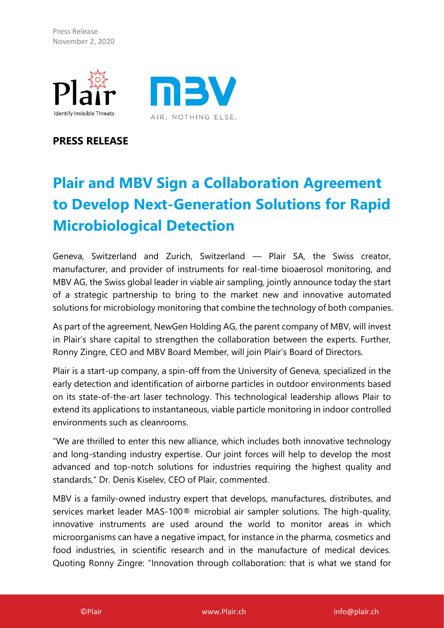Press Release November 2, 2020





**PRESS RELEASE**

# **Plair and MBV Sign a Collaboration Agreement to Develop Next-Generation Solutions for Rapid Microbiological Detection**

Geneva, Switzerland and Zurich, Switzerland - Plair SA, the Swiss creator, manufacturer, and provider of instruments for real-time bioaerosol monitoring, and MBV AG, the Swiss global leader in viable air sampling, jointly announce today the start of a strategic partnership to bring to the market new and innovative automated solutions for microbiology monitoring that combine the technology of both companies.

As part of the agreement, NewGen Holding AG, the parent company of MBV, will invest in Plair's share capital to strengthen the collaboration between the experts. Further, Ronny Zingre, CEO and MBV Board Member, will join Plair's Board of Directors.

Plair is a start-up company, a spin-off from the University of Geneva, specialized in the early detection and identification of airborne particles in outdoor environments based on its state-of-the-art laser technology. This technological leadership allows Plair to extend its applications to instantaneous, viable particle monitoring in indoor controlled environments such as cleanrooms.

"We are thrilled to enter this new alliance, which includes both innovative technology and long-standing industry expertise. Our joint forces will help to develop the most advanced and top-notch solutions for industries requiring the highest quality and standards," Dr. Denis Kiselev, CEO of Plair, commented.

MBV is a family-owned industry expert that develops, manufactures, distributes, and services market leader MAS-100® microbial air sampler solutions. The high-quality, innovative instruments are used around the world to monitor areas in which microorganisms can have a negative impact, for instance in the pharma, cosmetics and food industries, in scientific research and in the manufacture of medical devices. Quoting Ronny Zingre: "Innovation through collaboration: that is what we stand for